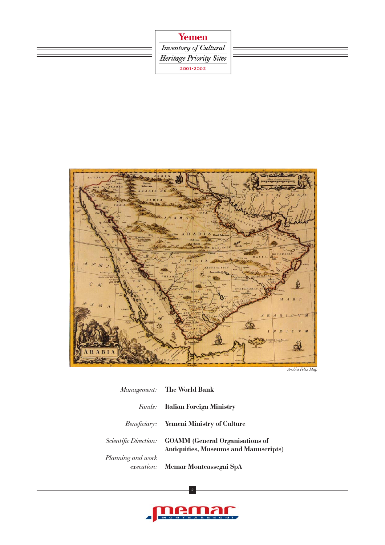





Arabia Felix Map

|                   | Management: The World Bank                                                                     |
|-------------------|------------------------------------------------------------------------------------------------|
|                   | <b>Funds:</b> Italian Foreign Ministry                                                         |
|                   | <b>Beneficiary:</b> Yemeni Ministry of Culture                                                 |
|                   | Scientific Direction: GOAMM (General Organisations of<br>Antiquities, Museums and Manuscripts) |
| Planning and work | execution: Memar Monteassegni SpA                                                              |

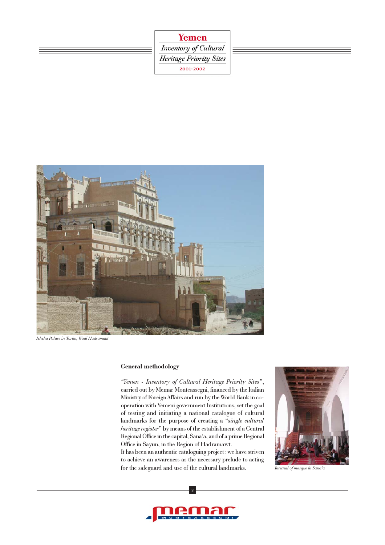





Ishsha Palace in Tarim, Wadi Hadramaut

## General methodology

"Yemen - Inventory of Cultural Heritage Priority Sites", carried out by Memar Monteassegni, financed by the Italian Ministry of Foreign Affairs and run by the World Bank in cooperation with Yemeni government Institutions, set the goal of testing and initiating a national catalogue of cultural landmarks for the purpose of creating a "single cultural heritage register" by means of the establishment of a Central Regional Office in the capital, Sana'a, and of a prime Regional Office in Sayun, in the Region of Hadramawt.

It has been an authentic cataloguing project: we have striven to achieve an awareness as the necessary prelude to acting for the safeguard and use of the cultural landmarks.



Internal of mosque in Sana'a

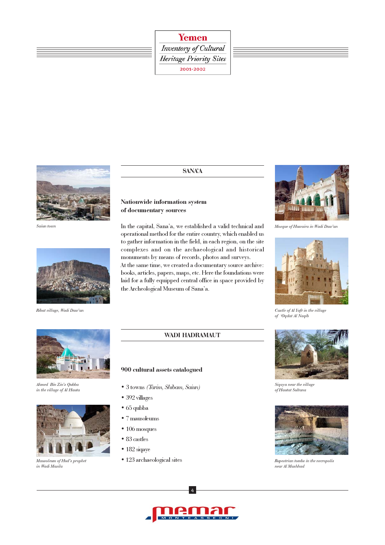Inventory of Cultural Heritage Priority Sites 2001-2002



Saiun town



Ribat village, Wadi Daw'an



Ahmed Bin Zin's Qubba in the village of Al Hauta



Mausoleum of Hud's prophet in Wadi Masila

## SANA'A

# Nationwide information system of documentary sources

900 cultural assets catalogued

• 3 towns (Tarim, Shibam, Saiun)

• 123 archaeological sites

• 392 villages • 65 qubba • 7 mausoleums • 106 mosques • 83 castles • 182 siqaye

In the capital, Sana'a, we established a valid technical and operational method for the entire country, which enabled us to gather information in the field, in each region, on the site complexes and on the archaeological and historical monuments by means of records, photos and surveys. At the same time, we created a documentary source archive: books, articles, papers, maps, etc. Here the foundations were laid for a fully equipped central office in space provided by the Archeological Museum of Sana'a.

WADI HADRAMAUT



Mosque of Huwaira in Wadi Daw'an



Castle of Al Yafè in the village of 'Oqdat Al Naqib



Siqaya near the village of Hautat Sultana



Rupestrian tombs in the necropolis near Al Mashhad

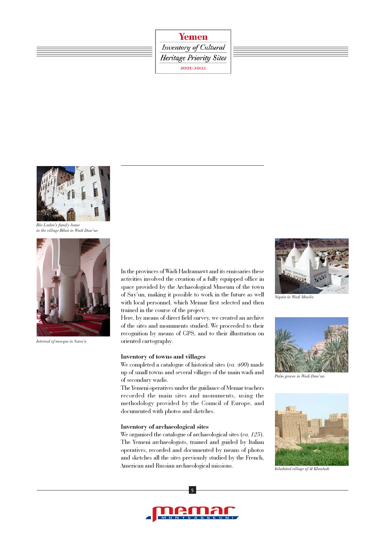Inventory of Cultural **Heritage Priority Sites** 2001-2002



Bin Laden's family home in the village Ribat in Wadi Daw'an



Internal of mosque in Sana'a

In the provinces of Wadi Hadramawt and its emissaries these activities involved the creation of a fully equipped office in space provided by the Archaeological Museum of the town of Say'un, making it possible to work in the future as well with local personnel, which Memar first selected and then trained in the course of the project.

Here, by means of direct field survey, we created an archive of the sites and monuments studied. We proceeded to their recognition by means of GPS, and to their illustration on oriented cartography.

# Inventory of towns and villages

We completed a catalogue of historical sites (ca. 400) made up of small towns and several villages of the main wadi and of secondary wadis.

The Yemeni operatives under the guidance of Memar teachers recorded the main sites and monuments, using the methodology provided by the Council of Europe, and documented with photos and sketches.

### Inventory of archaeological sites

We organised the catalogue of archaeological sites (ca. 125). The Yemeni archaeologists, trained and guided by Italian operatives, recorded and documented by means of photos and sketches all the sites previously studied by the French, American and Russian archaeological missions.



Siqaia in Wadi Masila



Palm groves in Wadi Daw'an



Inhabited village of Al Khashab

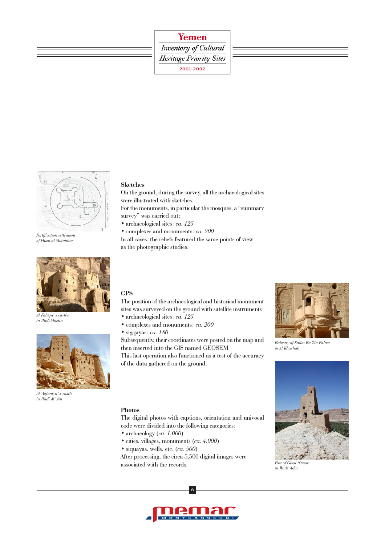# Inventory of Cultural **Heritage Priority Sites** 2001-2002



Fortification settlement of Husn al Mutahhar



Al Faluqa' s castles in Wadi Masila



Al 'Aglaniya' s castle in Wadi Al' Ain

# Sketches

On the ground, during the survey, all the archaeological sites were illustrated with sketches.

For the monuments, in particular the mosques, a "summary survey" was carried out:

- archaeological sites: ca. 125
- complexes and monuments: ca. 200

In all cases, the reliefs featured the same points of view as the photographic studies.

# GPS

Photos

• archaeology (ca. 1.000)

• siquayas, wells, etc. (ca. 500)

The position of the archaeological and historical monument sites was surveyed on the ground with satellite instruments: • archaeological sites: ca. 125

- complexes and monuments: ca. 200
- sigqayas: ca. 180

Subsequently, their coordinates were posted on the map and then inserted into the GIS named GEOSEM.

This last operation also functioned as a test of the accuracy of the data gathered on the ground.

The digital photos with captions, orientation and univocal



Balcony of Salim Ba Zin Palace in Al Khashab

Fort of Gheil 'Omar in Wadi 'Adm



After processing, the circa 5,500 digital images were

code were divided into the following categories:

• cities, villages, monuments (ca. 4.000)

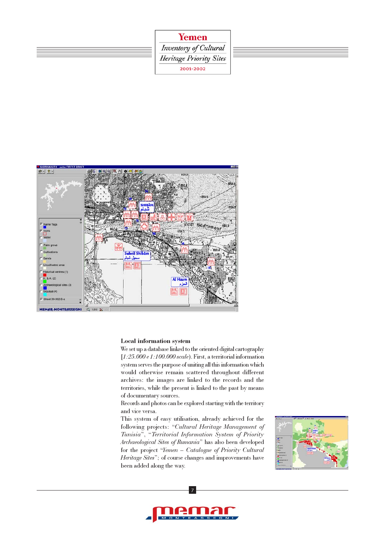



## Local information system

We set up a database linked to the oriented digital cartography [1:25.000 e 1:100.000 scale). First, a territorial information system serves the purpose of uniting all this information which would otherwise remain scattered throughout different archives: the images are linked to the records and the territories, while the present is linked to the past by means of documentary sources.

Records and photos can be explored starting with the territory and vice versa.

This system of easy utilisation, already achieved for the following projects: "Cultural Heritage Management of Tunisia", "Territorial Information System of Priority Archaeological Sites of Rumania" has also been developed for the project "Yemen – Catalogue of Priority Cultural Heritage Sites"; of course changes and improvements have been added along the way.



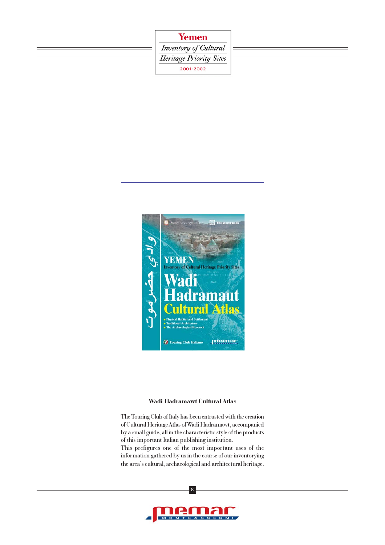





## Wadi Hadramawt Cultural Atlas

The Touring Club of Italy has been entrusted with the creation of Cultural Heritage Atlas of Wadi Hadramawt, accompanied by a small guide, all in the characteristic style of the products of this important Italian publishing institution.

This prefigures one of the most important uses of the information gathered by us in the course of our inventorying the area's cultural, archaeological and architectural heritage.

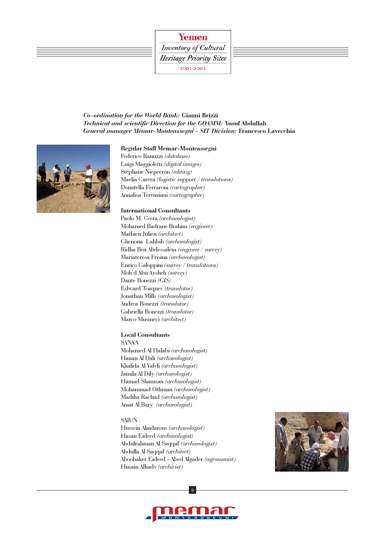Inventory of Cultural **Heritage Priority Sites** 2001-2002



### Regular Staff Memar-Monteassegni

Federico Ranuzzi (database) Luigi Maggioletti (digital images) Stéphane Niepceron (editing) Maelia Carera (logistic support / translations) Donatella Ferraroni (cartographer) Annalisa Terenziani (cartographer)

## International Consultants

Paolo M. Costa (archaeologist) Mohamed Badrane Brahim (engineer) Mathieu Julien (architect) Ghenoua Lahbib (archaeologist) Ridha Ben Abdessalem (engineer / survey) Mariateresa Frisina (archaeologist) Enrico Galoppini (survey / translations) Moh'd Abu Aysheh (survey) Dante Bonezzi (GIS) Edward Toaques (translator) Jonathan Mills (archaeologist) Andrea Bonezzi (translator) Gabriella Bonezzi (translator) Marco Musmeci (architect)

## Local Consultants

SANA'A Mohamed Al Halabi (archaeologist) Hanan Al Dali (archaeologist) Khalida Al Yafeli (archaeologist) Jamila Al Dily (archaeologist) Hamad Shamsan (archaeologist) Mohammad Othman (archaeologist) Madiha Rachad (archaeologist) Amat Al Bary (archaeologist)

#### **SAIUN**

Hussein Alaidarous (archaeologist) Hasan Eideed (archaeologist) Abdulrahman Al Saqqaf (archaeologist) Abdulla Al Saqqaf (architect) Aboobaker Eideed - Abed Algader (agronomist) Husain Alhady (archivist)